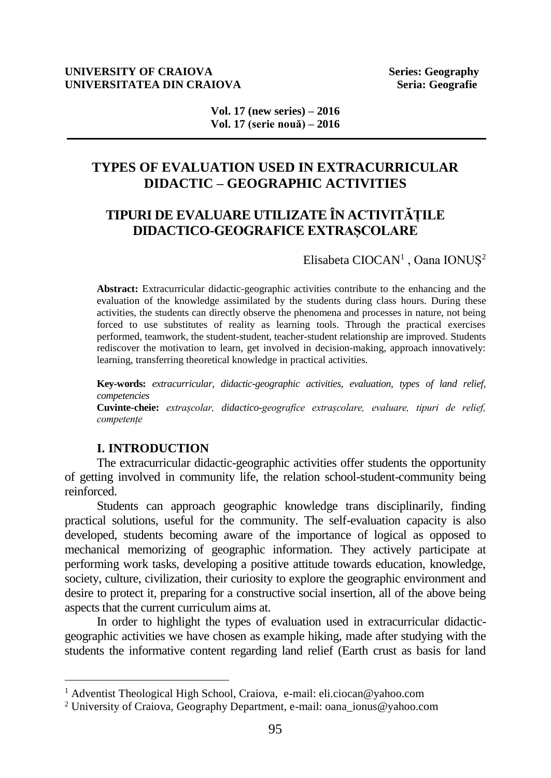#### **UNIVERSITY OF CRAIOVA Series: Geography UNIVERSITATEA DIN CRAIOVA Seria: Geografie Seria: Geografie**

**Vol. 17 (new series) – 2016 Vol. 17 (serie nouă) – 2016**

# **TYPES OF EVALUATION USED IN EXTRACURRICULAR DIDACTIC – GEOGRAPHIC ACTIVITIES**

# **TIPURI DE EVALUARE UTILIZATE ÎN ACTIVITĂȚILE DIDACTICO-GEOGRAFICE EXTRAȘCOLARE**

Elisabeta CIOCAN<sup>1</sup>, Oana IONUȘ<sup>2</sup>

**Abstract:** Extracurricular didactic-geographic activities contribute to the enhancing and the evaluation of the knowledge assimilated by the students during class hours. During these activities, the students can directly observe the phenomena and processes in nature, not being forced to use substitutes of reality as learning tools. Through the practical exercises performed, teamwork, the student-student, teacher-student relationship are improved. Students rediscover the motivation to learn, get involved in decision-making, approach innovatively: learning, transferring theoretical knowledge in practical activities.

**Key-words:** *extracurricular, didactic-geographic activities, evaluation, types of land relief, competencies*  **Cuvinte-cheie:** *extrașcolar, didactico-geografice extrașcolare, evaluare, tipuri de relief, competențe*

## **I. INTRODUCTION**

 $\overline{a}$ 

The extracurricular didactic-geographic activities offer students the opportunity of getting involved in community life, the relation school-student-community being reinforced.

Students can approach geographic knowledge trans disciplinarily, finding practical solutions, useful for the community. The self-evaluation capacity is also developed, students becoming aware of the importance of logical as opposed to mechanical memorizing of geographic information. They actively participate at performing work tasks, developing a positive attitude towards education, knowledge, society, culture, civilization, their curiosity to explore the geographic environment and desire to protect it, preparing for a constructive social insertion, all of the above being aspects that the current curriculum aims at.

In order to highlight the types of evaluation used in extracurricular didacticgeographic activities we have chosen as example hiking, made after studying with the students the informative content regarding land relief (Earth crust as basis for land

<sup>1</sup> Adventist Theological High School, Craiova, e-mail: [eli.ciocan@yahoo.com](mailto:eli.ciocan@yahoo.com)

<sup>&</sup>lt;sup>2</sup> University of Craiova, Geography Department, e-mail[: oana\\_ionus@yahoo.com](mailto:oana_ionus@yahoo.com)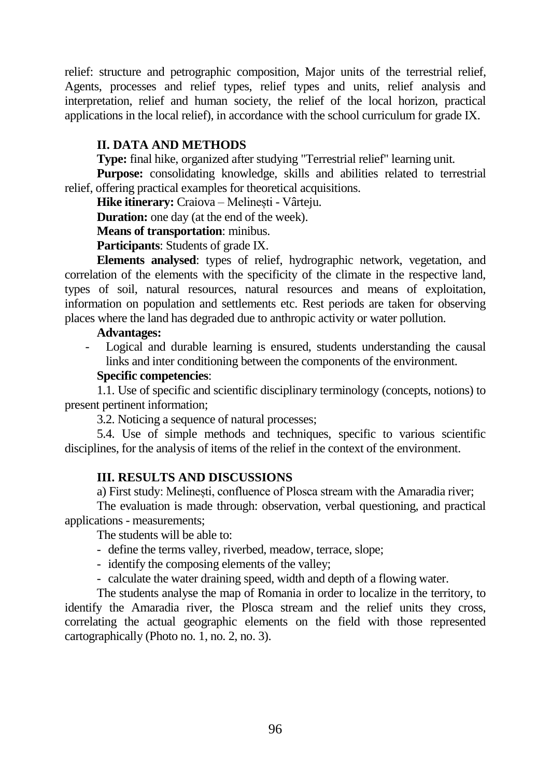relief: structure and petrographic composition, Major units of the terrestrial relief, Agents, processes and relief types, relief types and units, relief analysis and interpretation, relief and human society, the relief of the local horizon, practical applications in the local relief), in accordance with the school curriculum for grade IX.

# **II. DATA AND METHODS**

**Type:** final hike, organized after studying "Terrestrial relief" learning unit*.*

**Purpose:** consolidating knowledge, skills and abilities related to terrestrial relief, offering practical examples for theoretical acquisitions.

**Hike itinerary:** Craiova – Melinești - Vârteju.

**Duration:** one day (at the end of the week).

**Means of transportation**: minibus.

**Participants**: Students of grade IX.

**Elements analysed**: types of relief, hydrographic network, vegetation, and correlation of the elements with the specificity of the climate in the respective land, types of soil, natural resources, natural resources and means of exploitation, information on population and settlements etc. Rest periods are taken for observing places where the land has degraded due to anthropic activity or water pollution.

#### **Advantages:**

- Logical and durable learning is ensured, students understanding the causal links and inter conditioning between the components of the environment.

#### **Specific competencies**:

1.1. Use of specific and scientific disciplinary terminology (concepts, notions) to present pertinent information;

3.2. Noticing a sequence of natural processes;

5.4. Use of simple methods and techniques, specific to various scientific disciplines, for the analysis of items of the relief in the context of the environment.

## **III. RESULTS AND DISCUSSIONS**

a) First study: Melinești, confluence of Plosca stream with the Amaradia river;

The evaluation is made through: observation, verbal questioning, and practical applications - measurements;

The students will be able to:

- define the terms valley, riverbed, meadow, terrace, slope;
- identify the composing elements of the valley;

- calculate the water draining speed, width and depth of a flowing water.

The students analyse the map of Romania in order to localize in the territory, to identify the Amaradia river, the Plosca stream and the relief units they cross, correlating the actual geographic elements on the field with those represented cartographically (Photo no. 1, no. 2, no. 3).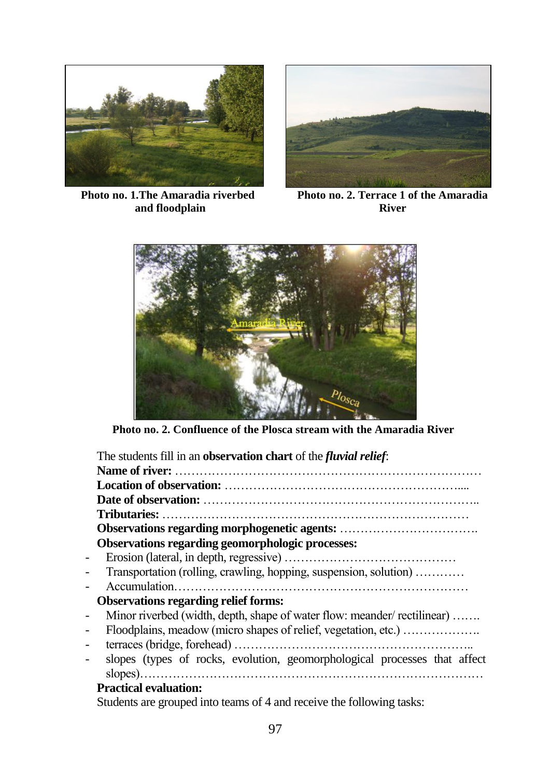

**Photo no. 1.The Amaradia riverbed and floodplain**



**Photo no. 2. Terrace 1 of the Amaradia River**



**Photo no. 2. Confluence of the Plosca stream with the Amaradia River**

|                          | The students fill in an <b>observation chart</b> of the <i>fluvial relief</i> : |
|--------------------------|---------------------------------------------------------------------------------|
|                          |                                                                                 |
|                          |                                                                                 |
|                          |                                                                                 |
|                          |                                                                                 |
|                          |                                                                                 |
|                          | Observations regarding geomorphologic processes:                                |
| $\overline{\phantom{0}}$ |                                                                                 |
| $\overline{\phantom{0}}$ | Transportation (rolling, crawling, hopping, suspension, solution)               |
|                          |                                                                                 |
|                          | <b>Observations regarding relief forms:</b>                                     |
| $\overline{\phantom{0}}$ | Minor riverbed (width, depth, shape of water flow: meander/ rectilinear)        |
| $\overline{\phantom{0}}$ | Floodplains, meadow (micro shapes of relief, vegetation, etc.)                  |
| $\overline{\phantom{0}}$ |                                                                                 |
| -                        | slopes (types of rocks, evolution, geomorphological processes that affect       |
|                          |                                                                                 |
|                          | <b>Practical evaluation:</b>                                                    |
|                          | Students are grouped into teams of 4 and receive the following tasks:           |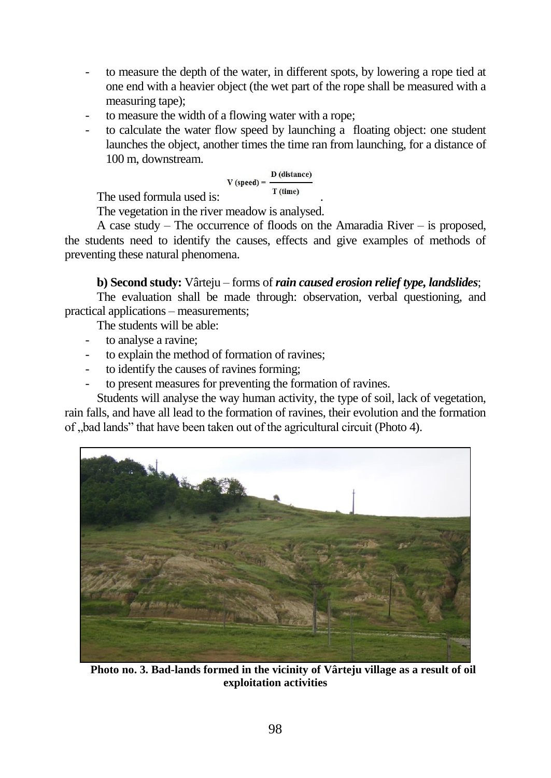- to measure the depth of the water, in different spots, by lowering a rope tied at one end with a heavier object (the wet part of the rope shall be measured with a measuring tape);
- to measure the width of a flowing water with a rope;
- to calculate the water flow speed by launching a floating object: one student launches the object, another times the time ran from launching, for a distance of 100 m, downstream.

$$
V (speed) = \frac{D (distance)}{T (time)}
$$

The used formula used is:

The vegetation in the river meadow is analysed.

A case study – The occurrence of floods on the Amaradia River – is proposed, the students need to identify the causes, effects and give examples of methods of preventing these natural phenomena.

# **b) Second study:** Vârteju – forms of *rain caused erosion relief type, landslides*;

The evaluation shall be made through: observation, verbal questioning, and practical applications – measurements;

The students will be able:

- to analyse a ravine:
- to explain the method of formation of ravines;
- to identify the causes of ravines forming;
- to present measures for preventing the formation of ravines.

Students will analyse the way human activity, the type of soil, lack of vegetation, rain falls, and have all lead to the formation of ravines, their evolution and the formation of "bad lands" that have been taken out of the agricultural circuit (Photo 4).



**Photo no. 3. Bad-lands formed in the vicinity of Vârteju village as a result of oil exploitation activities**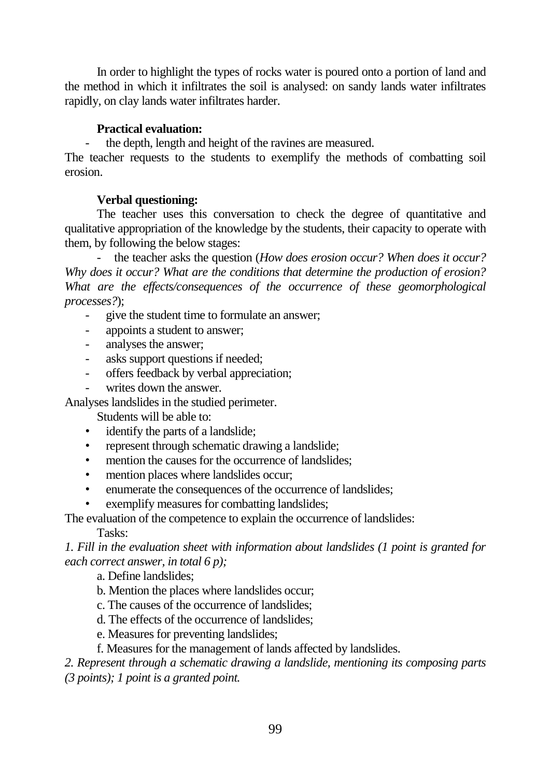In order to highlight the types of rocks water is poured onto a portion of land and the method in which it infiltrates the soil is analysed: on sandy lands water infiltrates rapidly, on clay lands water infiltrates harder.

## **Practical evaluation:**

- the depth, length and height of the ravines are measured.

The teacher requests to the students to exemplify the methods of combatting soil erosion.

# **Verbal questioning:**

The teacher uses this conversation to check the degree of quantitative and qualitative appropriation of the knowledge by the students, their capacity to operate with them, by following the below stages:

- the teacher asks the question (*How does erosion occur? When does it occur? Why does it occur? What are the conditions that determine the production of erosion? What are the effects/consequences of the occurrence of these geomorphological processes?*);

- give the student time to formulate an answer;
- appoints a student to answer;
- analyses the answer;
- asks support questions if needed;
- offers feedback by verbal appreciation;
- writes down the answer.

Analyses landslides in the studied perimeter.

- Students will be able to:
- identify the parts of a landslide;
- represent through schematic drawing a landslide;
- mention the causes for the occurrence of landslides;
- mention places where landslides occur;
- enumerate the consequences of the occurrence of landslides;
- exemplify measures for combatting landslides;

The evaluation of the competence to explain the occurrence of landslides:

Tasks:

*1. Fill in the evaluation sheet with information about landslides (1 point is granted for each correct answer, in total 6 p);*

a. Define landslides;

- b. Mention the places where landslides occur;
- c. The causes of the occurrence of landslides;
- d. The effects of the occurrence of landslides;
- e. Measures for preventing landslides;
- f. Measures for the management of lands affected by landslides.

*2. Represent through a schematic drawing a landslide, mentioning its composing parts (3 points); 1 point is a granted point.*